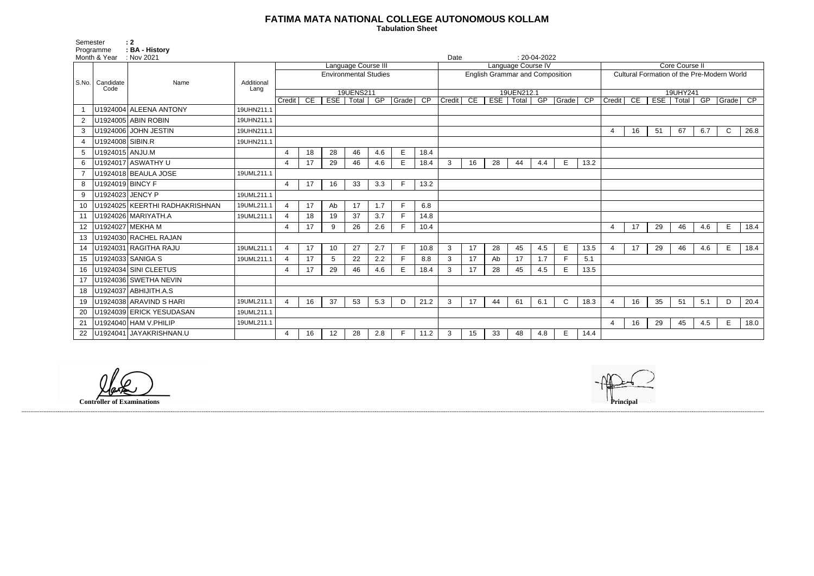## **FATIMA MATA NATIONAL COLLEGE AUTONOMOUS KOLLAM**

 **Tabulation Sheet** 

| <b>Core Course II</b>                      |    |            |       |          |                 |      |  |  |  |  |  |  |
|--------------------------------------------|----|------------|-------|----------|-----------------|------|--|--|--|--|--|--|
|                                            |    |            |       |          |                 |      |  |  |  |  |  |  |
| Cultural Formation of the Pre-Modern World |    |            |       |          |                 |      |  |  |  |  |  |  |
|                                            |    |            |       |          |                 |      |  |  |  |  |  |  |
| 19UHY241<br>GP                             |    |            |       |          |                 |      |  |  |  |  |  |  |
| Credit                                     | CE | <b>ESE</b> | Total | Grade    | $\overline{CP}$ |      |  |  |  |  |  |  |
|                                            |    |            |       |          |                 |      |  |  |  |  |  |  |
|                                            |    |            |       |          |                 |      |  |  |  |  |  |  |
|                                            |    |            |       |          |                 |      |  |  |  |  |  |  |
| 4                                          | 16 | 51         | 67    | 6.7      | C               | 26.8 |  |  |  |  |  |  |
|                                            |    |            |       |          |                 |      |  |  |  |  |  |  |
|                                            |    |            |       |          |                 |      |  |  |  |  |  |  |
|                                            |    |            |       |          |                 |      |  |  |  |  |  |  |
|                                            |    |            |       |          |                 |      |  |  |  |  |  |  |
|                                            |    |            |       |          |                 |      |  |  |  |  |  |  |
|                                            |    |            |       |          |                 |      |  |  |  |  |  |  |
|                                            |    |            |       |          |                 |      |  |  |  |  |  |  |
|                                            |    |            |       |          |                 |      |  |  |  |  |  |  |
|                                            |    |            |       |          |                 |      |  |  |  |  |  |  |
|                                            |    |            |       |          |                 |      |  |  |  |  |  |  |
|                                            |    |            |       |          |                 |      |  |  |  |  |  |  |
| 4                                          | 17 | 29         | 46    | 4.6      | E               | 18.4 |  |  |  |  |  |  |
|                                            |    |            |       |          |                 |      |  |  |  |  |  |  |
|                                            |    |            |       |          |                 |      |  |  |  |  |  |  |
| 4                                          | 17 | 29         | 46    | 4.6      | E               | 18.4 |  |  |  |  |  |  |
|                                            |    |            |       |          |                 |      |  |  |  |  |  |  |
|                                            |    |            |       |          |                 |      |  |  |  |  |  |  |
|                                            |    |            |       |          |                 |      |  |  |  |  |  |  |
|                                            |    |            |       |          |                 |      |  |  |  |  |  |  |
|                                            |    |            |       |          |                 |      |  |  |  |  |  |  |
|                                            |    |            |       |          |                 |      |  |  |  |  |  |  |
| 4                                          | 16 | 35         | 51    | 5.1      | D               | 20.4 |  |  |  |  |  |  |
|                                            |    |            |       |          |                 |      |  |  |  |  |  |  |
|                                            |    |            |       |          |                 |      |  |  |  |  |  |  |
| 4                                          | 16 | 29         | 45    | 4.5<br>E |                 |      |  |  |  |  |  |  |
|                                            |    |            |       |          |                 | 18.0 |  |  |  |  |  |  |
|                                            |    |            |       |          |                 |      |  |  |  |  |  |  |

|                                    | Semester<br>Programme<br>Month & Year | : 2<br>: BA - History<br>: Nov 2021 |            |                          |                     |                 |                              |     |              |      | Date                                   |    |     |            | $: 20-04-2022$ |              |                 |                                            |    |    |             |     |              |      |
|------------------------------------|---------------------------------------|-------------------------------------|------------|--------------------------|---------------------|-----------------|------------------------------|-----|--------------|------|----------------------------------------|----|-----|------------|----------------|--------------|-----------------|--------------------------------------------|----|----|-------------|-----|--------------|------|
|                                    |                                       |                                     |            |                          | Language Course III |                 |                              |     |              |      | Language Course IV                     |    |     |            |                |              |                 | Core Course II                             |    |    |             |     |              |      |
| S.No.   Candidate                  |                                       |                                     |            |                          |                     |                 | <b>Environmental Studies</b> |     |              |      | <b>English Grammar and Composition</b> |    |     |            |                |              |                 | Cultural Formation of the Pre-Modern World |    |    |             |     |              |      |
|                                    |                                       | Name                                | Additional |                          |                     |                 |                              |     |              |      |                                        |    |     |            |                |              |                 |                                            |    |    |             |     |              |      |
|                                    | Code                                  |                                     | Lang       |                          |                     |                 | 19UENS211                    |     |              |      |                                        |    |     | 19UEN212.1 |                |              |                 |                                            |    |    | 19UHY241    |     |              |      |
|                                    |                                       |                                     |            | Credit                   | CE                  | EST             | Total                        | GP  | Grade CP     |      | Credit                                 | CE | ESE | Total      | GP             | <b>Grade</b> | $\overline{CP}$ | Credit                                     | CE |    | ESE   Total | GP  | Grade CP     |      |
|                                    |                                       | U1924004 ALEENA ANTONY              | 19UHN211.1 |                          |                     |                 |                              |     |              |      |                                        |    |     |            |                |              |                 |                                            |    |    |             |     |              |      |
| 2                                  |                                       | U1924005 ABIN ROBIN                 | 19UHN211.1 |                          |                     |                 |                              |     |              |      |                                        |    |     |            |                |              |                 |                                            |    |    |             |     |              |      |
| 3                                  |                                       | U1924006 JOHN JESTIN                | 19UHN211.1 |                          |                     |                 |                              |     |              |      |                                        |    |     |            |                |              |                 |                                            | 16 | 51 | 67          | 6.7 | $\mathsf{C}$ | 26.8 |
| 4                                  | U1924008 SIBIN.R                      |                                     | 19UHN211.1 |                          |                     |                 |                              |     |              |      |                                        |    |     |            |                |              |                 |                                            |    |    |             |     |              |      |
| 5                                  | U1924015 ANJU.M                       |                                     |            |                          | 18                  | 28              | 46                           | 4.6 | E            | 18.4 |                                        |    |     |            |                |              |                 |                                            |    |    |             |     |              |      |
| 6                                  |                                       | U1924017 ASWATHY U                  |            | $\overline{\mathcal{A}}$ | 17                  | 29              | 46                           | 4.6 | E            | 18.4 | 3                                      | 16 | 28  | 44         | 4.4            | E            | 13.2            |                                            |    |    |             |     |              |      |
| U1924018 BEAULA JOSE<br>19UML211.1 |                                       |                                     |            |                          |                     |                 |                              |     |              |      |                                        |    |     |            |                |              |                 |                                            |    |    |             |     |              |      |
| 8                                  | U1924019 BINCY F                      |                                     |            | 4                        | 17                  | 16              | 33                           | 3.3 | F            | 13.2 |                                        |    |     |            |                |              |                 |                                            |    |    |             |     |              |      |
| 9                                  |                                       | U1924023 JENCY P                    | 19UML211.1 |                          |                     |                 |                              |     |              |      |                                        |    |     |            |                |              |                 |                                            |    |    |             |     |              |      |
| 10                                 |                                       | U1924025 KEERTHI RADHAKRISHNAN      | 19UML211.1 | $\boldsymbol{\Delta}$    | 17                  | Ab              | 17                           | 1.7 | F            | 6.8  |                                        |    |     |            |                |              |                 |                                            |    |    |             |     |              |      |
| 11                                 |                                       | U1924026 MARIYATH.A                 | 19UML211.1 | $\boldsymbol{\varDelta}$ | 18                  | 19              | 37                           | 3.7 | F.           | 14.8 |                                        |    |     |            |                |              |                 |                                            |    |    |             |     |              |      |
| 12                                 |                                       | U1924027 MEKHA M                    |            | $\Delta$                 | 17                  | 9               | 26                           | 2.6 | F            | 10.4 |                                        |    |     |            |                |              |                 | $\boldsymbol{\varDelta}$                   | 17 | 29 | 46          | 4.6 | E            | 18.4 |
| 13                                 |                                       | U1924030 RACHEL RAJAN               |            |                          |                     |                 |                              |     |              |      |                                        |    |     |            |                |              |                 |                                            |    |    |             |     |              |      |
| 14                                 |                                       | U1924031 RAGITHA RAJU               | 19UML211.1 | $\boldsymbol{\varDelta}$ | 17                  | 10              | 27                           | 2.7 | $\mathsf{F}$ | 10.8 | 3                                      | 17 | 28  | 45         | 4.5            | E            | 13.5            |                                            | 17 | 29 | 46          | 4.6 | E            | 18.4 |
| 15                                 |                                       | U1924033 SANIGA S                   | 19UML211.1 |                          | 17                  | $5\phantom{.0}$ | 22                           | 2.2 | F            | 8.8  | 3                                      | 17 | Ab  | 17         | 1.7            | E.           | 5.1             |                                            |    |    |             |     |              |      |
| 16                                 |                                       | U1924034 SINI CLEETUS               |            |                          | 17                  | 29              | 46                           | 4.6 | E            | 18.4 | 3                                      | 17 | 28  | 45         | 4.5            | E            | 13.5            |                                            |    |    |             |     |              |      |
| 17                                 |                                       | U1924036 SWETHA NEVIN               |            |                          |                     |                 |                              |     |              |      |                                        |    |     |            |                |              |                 |                                            |    |    |             |     |              |      |
| 18                                 |                                       | U1924037 ABHIJITH.A.S               |            |                          |                     |                 |                              |     |              |      |                                        |    |     |            |                |              |                 |                                            |    |    |             |     |              |      |
| 19                                 |                                       | U1924038 ARAVIND S HARI             | 19UML211.1 | $\boldsymbol{\Lambda}$   | 16                  | 37              | 53                           | 5.3 | D            | 21.2 | 3                                      | 17 | 44  | 61         | 6.1            | $\mathsf{C}$ | 18.3            |                                            | 16 | 35 | 51          | 5.1 | D            | 20.4 |
| 20                                 |                                       | U1924039 ERICK YESUDASAN            | 19UML211.1 |                          |                     |                 |                              |     |              |      |                                        |    |     |            |                |              |                 |                                            |    |    |             |     |              |      |
| 21                                 |                                       | U1924040 HAM V.PHILIP               | 19UML211.1 |                          |                     |                 |                              |     |              |      |                                        |    |     |            |                |              |                 |                                            | 16 | 29 | 45          | 4.5 | E            | 18.0 |
| 22                                 |                                       | U1924041 JAYAKRISHNAN.U             |            | 4                        | 16                  | 12              | 28                           | 2.8 | F            | 11.2 | 3                                      | 15 | 33  | 48         | 4.8            | E            | 14.4            |                                            |    |    |             |     |              |      |

**Controller of Examinations Principal**

------------------------------------------------------------------------------------------------------------------------------------------------------------------------------------------------------------------------------------------------------------------------------------------------------------------------------------------------------------------------------------------------------------------------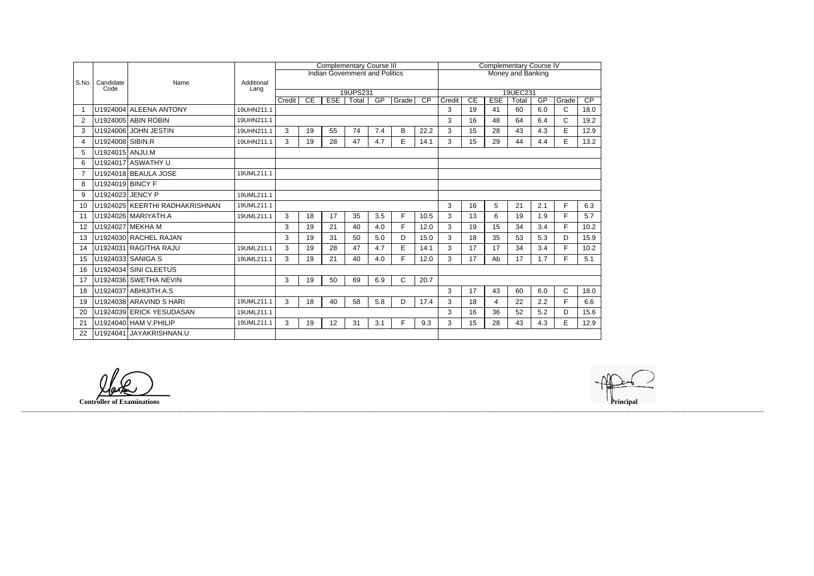|                    |                  |                                |                    |        |    | <b>Complementary Course III</b>       |          |     |             | <b>Complementary Course IV</b> |        |                      |                  |             |     |                       |                         |  |  |
|--------------------|------------------|--------------------------------|--------------------|--------|----|---------------------------------------|----------|-----|-------------|--------------------------------|--------|----------------------|------------------|-------------|-----|-----------------------|-------------------------|--|--|
| S.No.<br>Candidate |                  |                                |                    |        |    | <b>Indian Government and Politics</b> |          |     |             | Money and Banking              |        |                      |                  |             |     |                       |                         |  |  |
|                    | Code             | Name                           | Additional<br>Lang |        |    |                                       |          |     |             |                                |        |                      |                  |             |     |                       |                         |  |  |
|                    |                  |                                |                    |        | CE | <b>ESE</b>                            | 19UPS231 | GP  | Grade       | $\overline{CP}$                | Credit | 19UEC231<br>CE<br>GP |                  |             |     |                       |                         |  |  |
|                    |                  | U1924004 ALEENA ANTONY         | 19UHN211.1         | Credit |    |                                       | Total    |     |             |                                | 3      | 19                   | <b>ESE</b><br>41 | Total<br>60 | 6.0 | Grade<br>$\mathsf{C}$ | $\overline{CP}$<br>18.0 |  |  |
|                    |                  |                                |                    |        |    |                                       |          |     |             |                                |        |                      |                  |             |     |                       |                         |  |  |
| $\overline{2}$     |                  | U1924005 ABIN ROBIN            | 19UHN211.1         |        |    |                                       |          |     |             |                                | 3      | 16                   | 48               | 64          | 6.4 | $\mathsf{C}$          | 19.2                    |  |  |
| 3                  | U1924006         | <b>JOHN JESTIN</b>             | 19UHN211.1         | 3      | 19 | 55                                    | 74       | 7.4 | B           | 22.2                           | 3      | 15                   | 28               | 43          | 4.3 | E                     | 12.9                    |  |  |
| $\boldsymbol{4}$   | U1924008 SIBIN.R |                                | 19UHN211.1         | 3      | 19 | 28                                    | 47       | 4.7 | E           | 14.1                           | 3      | 15                   | 29               | 44          | 4.4 | E                     | 13.2                    |  |  |
| 5                  | U1924015 ANJU.M  |                                |                    |        |    |                                       |          |     |             |                                |        |                      |                  |             |     |                       |                         |  |  |
| 6                  |                  | U1924017 ASWATHY U             |                    |        |    |                                       |          |     |             |                                |        |                      |                  |             |     |                       |                         |  |  |
| 7                  |                  | U1924018 BEAULA JOSE           | 19UML211.1         |        |    |                                       |          |     |             |                                |        |                      |                  |             |     |                       |                         |  |  |
| 8                  | U1924019 BINCY F |                                |                    |        |    |                                       |          |     |             |                                |        |                      |                  |             |     |                       |                         |  |  |
| 9                  | U1924023 JENCY P |                                | 19UML211.1         |        |    |                                       |          |     |             |                                |        |                      |                  |             |     |                       |                         |  |  |
| 10                 |                  | U1924025 KEERTHI RADHAKRISHNAN | 19UML211.1         |        |    |                                       |          |     |             |                                | 3      | 16                   | 5                | 21          | 2.1 | F.                    | 6.3                     |  |  |
| 11                 |                  | U1924026 MARIYATH.A            | 19UML211.1         | 3      | 18 | 17                                    | 35       | 3.5 | F.          | 10.5                           | 3      | 13                   | 6                | 19          | 1.9 | F.                    | 5.7                     |  |  |
| 12                 |                  | U1924027 MEKHA M               |                    | 3      | 19 | 21                                    | 40       | 4.0 | F           | 12.0                           | 3      | 19                   | 15               | 34          | 3.4 | F                     | 10.2                    |  |  |
| 13                 |                  | U1924030 RACHEL RAJAN          |                    | 3      | 19 | 31                                    | 50       | 5.0 | D           | 15.0                           | 3      | 18                   | 35               | 53          | 5.3 | D                     | 15.9                    |  |  |
| 14                 |                  | U1924031 RAGITHA RAJU          | 19UML211.1         | 3      | 19 | 28                                    | 47       | 4.7 | E           | 14.1                           | 3      | 17                   | 17               | 34          | 3.4 | F.                    | 10.2                    |  |  |
| 15                 |                  | U1924033 SANIGA S              | 19UML211.1         | 3      | 19 | 21                                    | 40       | 4.0 | F           | 12.0                           | 3      | 17                   | Ab               | 17          | 1.7 | F.                    | 5.1                     |  |  |
| 16                 |                  | U1924034 SINI CLEETUS          |                    |        |    |                                       |          |     |             |                                |        |                      |                  |             |     |                       |                         |  |  |
| 17                 |                  | U1924036 SWETHA NEVIN          |                    | 3      | 19 | 50                                    | 69       | 6.9 | $\mathsf C$ | 20.7                           |        |                      |                  |             |     |                       |                         |  |  |
| 18                 |                  | U1924037 ABHIJITH.A.S          |                    |        |    |                                       |          |     |             |                                | 3      | 17                   | 43               | 60          | 6.0 | C                     | 18.0                    |  |  |
| 19                 |                  | U1924038 ARAVIND S HARI        | 19UML211.1         | 3      | 18 | 40                                    | 58       | 5.8 | D           | 17.4                           | 3      | 18                   | 4                | 22          | 2.2 | F.                    | 6.6                     |  |  |
| 20                 |                  | U1924039 ERICK YESUDASAN       | 19UML211.1         |        |    |                                       |          |     |             |                                | 3      | 16                   | 36               | 52          | 5.2 | D                     | 15.6                    |  |  |
| 21                 |                  | U1924040 HAM V. PHILIP         | 19UML211.1         | 3      | 19 | 12                                    | 31       | 3.1 | F           | 9.3                            | 3      | 15                   | 28               | 43          | 4.3 | E                     | 12.9                    |  |  |
| 22                 |                  | U1924041 JAYAKRISHNAN.U        |                    |        |    |                                       |          |     |             |                                |        |                      |                  |             |     |                       |                         |  |  |

**Controller of Examinations Principal**



------------------------------------------------------------------------------------------------------------------------------------------------------------------------------------------------------------------------------------------------------------------------------------------------------------------------------------------------------------------------------------------------------------------------